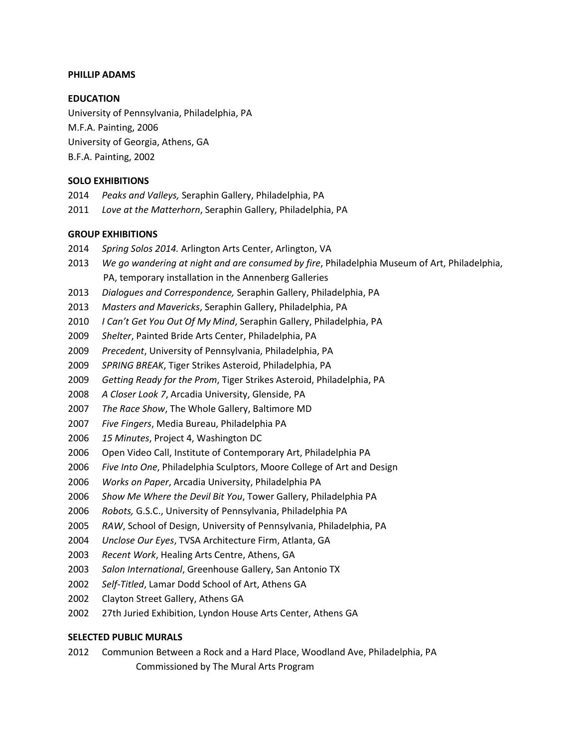## **PHILLIP ADAMS**

### **EDUCATION**

University of Pennsylvania, Philadelphia, PA M.F.A. Painting, 2006 University of Georgia, Athens, GA B.F.A. Painting, 2002

### **SOLO EXHIBITIONS**

- *Peaks and Valleys,* Seraphin Gallery, Philadelphia, PA
- *Love at the Matterhorn*, Seraphin Gallery, Philadelphia, PA

### **GROUP EXHIBITIONS**

- *Spring Solos 2014.* Arlington Arts Center, Arlington, VA
- *We go wandering at night and are consumed by fire*, Philadelphia Museum of Art, Philadelphia, PA, temporary installation in the Annenberg Galleries
- *Dialogues and Correspondence,* Seraphin Gallery, Philadelphia, PA
- *Masters and Mavericks*, Seraphin Gallery, Philadelphia, PA
- *I Can't Get You Out Of My Mind*, Seraphin Gallery, Philadelphia, PA
- *Shelter*, Painted Bride Arts Center, Philadelphia, PA
- *Precedent*, University of Pennsylvania, Philadelphia, PA
- *SPRING BREAK*, Tiger Strikes Asteroid, Philadelphia, PA
- *Getting Ready for the Prom*, Tiger Strikes Asteroid, Philadelphia, PA
- *A Closer Look 7*, Arcadia University, Glenside, PA
- *The Race Show*, The Whole Gallery, Baltimore MD
- *Five Fingers*, Media Bureau, Philadelphia PA
- *15 Minutes*, Project 4, Washington DC
- Open Video Call, Institute of Contemporary Art, Philadelphia PA
- *Five Into One*, Philadelphia Sculptors, Moore College of Art and Design
- *Works on Paper*, Arcadia University, Philadelphia PA
- *Show Me Where the Devil Bit You*, Tower Gallery, Philadelphia PA
- *Robots,* G.S.C., University of Pennsylvania, Philadelphia PA
- *RAW*, School of Design, University of Pennsylvania, Philadelphia, PA
- *Unclose Our Eyes*, TVSA Architecture Firm, Atlanta, GA
- *Recent Work*, Healing Arts Centre, Athens, GA
- *Salon International*, Greenhouse Gallery, San Antonio TX
- *Self-Titled*, Lamar Dodd School of Art, Athens GA
- Clayton Street Gallery, Athens GA
- 27th Juried Exhibition, Lyndon House Arts Center, Athens GA

#### **SELECTED PUBLIC MURALS**

 Communion Between a Rock and a Hard Place, Woodland Ave, Philadelphia, PA Commissioned by The Mural Arts Program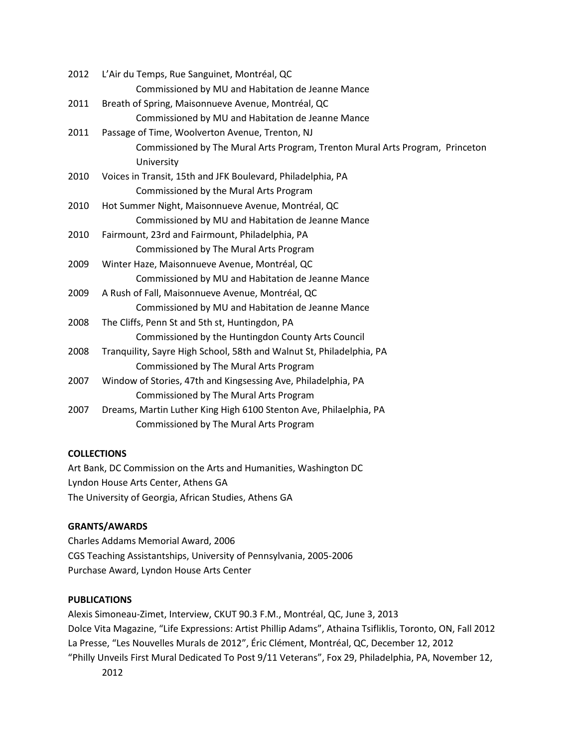| 2012 | L'Air du Temps, Rue Sanguinet, Montréal, QC                                   |
|------|-------------------------------------------------------------------------------|
|      | Commissioned by MU and Habitation de Jeanne Mance                             |
| 2011 | Breath of Spring, Maisonnueve Avenue, Montréal, QC                            |
|      | Commissioned by MU and Habitation de Jeanne Mance                             |
| 2011 | Passage of Time, Woolverton Avenue, Trenton, NJ                               |
|      | Commissioned by The Mural Arts Program, Trenton Mural Arts Program, Princeton |
|      | University                                                                    |
| 2010 | Voices in Transit, 15th and JFK Boulevard, Philadelphia, PA                   |
|      | Commissioned by the Mural Arts Program                                        |
| 2010 | Hot Summer Night, Maisonnueve Avenue, Montréal, QC                            |
|      | Commissioned by MU and Habitation de Jeanne Mance                             |
| 2010 | Fairmount, 23rd and Fairmount, Philadelphia, PA                               |
|      | Commissioned by The Mural Arts Program                                        |
| 2009 | Winter Haze, Maisonnueve Avenue, Montréal, QC                                 |
|      | Commissioned by MU and Habitation de Jeanne Mance                             |
| 2009 | A Rush of Fall, Maisonnueve Avenue, Montréal, QC                              |
|      | Commissioned by MU and Habitation de Jeanne Mance                             |
| 2008 | The Cliffs, Penn St and 5th st, Huntingdon, PA                                |
|      | Commissioned by the Huntingdon County Arts Council                            |
| 2008 | Tranquility, Sayre High School, 58th and Walnut St, Philadelphia, PA          |
|      | Commissioned by The Mural Arts Program                                        |
| 2007 | Window of Stories, 47th and Kingsessing Ave, Philadelphia, PA                 |
|      | Commissioned by The Mural Arts Program                                        |
| 2007 | Dreams, Martin Luther King High 6100 Stenton Ave, Philaelphia, PA             |
|      | Commissioned by The Mural Arts Program                                        |
|      |                                                                               |

## **COLLECTIONS**

Art Bank, DC Commission on the Arts and Humanities, Washington DC Lyndon House Arts Center, Athens GA The University of Georgia, African Studies, Athens GA

# **GRANTS/AWARDS**

Charles Addams Memorial Award, 2006 CGS Teaching Assistantships, University of Pennsylvania, 2005-2006 Purchase Award, Lyndon House Arts Center

# **PUBLICATIONS**

Alexis Simoneau-Zimet, Interview, CKUT 90.3 F.M., Montréal, QC, June 3, 2013 Dolce Vita Magazine, "Life Expressions: Artist Phillip Adams", Athaina Tsifliklis, Toronto, ON, Fall 2012 La Presse, "Les Nouvelles Murals de 2012", Éric Clément, Montréal, QC, December 12, 2012 "Philly Unveils First Mural Dedicated To Post 9/11 Veterans", Fox 29, Philadelphia, PA, November 12, 2012